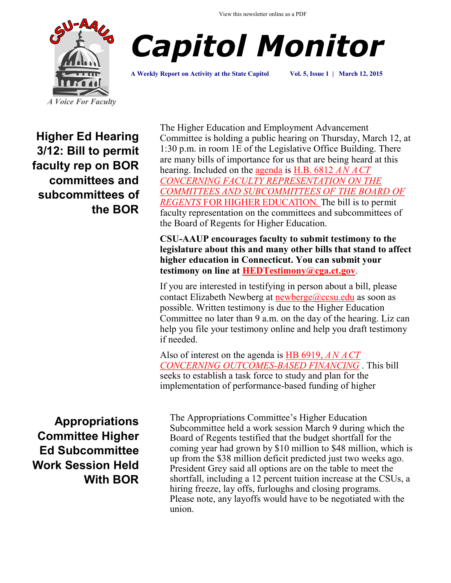



**A Weekly Report on Activity at the State Capitol Vol. 5, Issue 1 | March 12, 2015**

**Higher Ed Hearing 3/12: Bill to permit faculty rep on BOR committees and subcommittees of the BOR**

**Appropriations Committee Higher Ed Subcommittee Work Session Held With BOR**

The Higher Education and Employment Advancement Committee is holding a public hearing on Thursday, March 12, at 1:30 p.m. in room 1E of the Legislative Office Building. There are many bills of importance for us that are being heard at this hearing. Included on the [agenda](http://www.cga.ct.gov/2015/heddata/pha/2015PHA00312-R001330HED-PHA.htm) is [H.B. 6812](http://www.cga.ct.gov/2015/TOB/H/2015HB-06812-R00-HB.htmC:/Users/Elizabeth%20Pavlakis/Documents/HB6812) *AN ACT [CONCERNING FACULTY REPRESENTATION ON THE](http://www.cga.ct.gov/2015/TOB/H/2015HB-06812-R00-HB.htmC:/Users/Elizabeth%20Pavlakis/Documents/HB6812)  [COMMITTEES AND SUBCOMMITTEES OF THE BOARD OF](http://www.cga.ct.gov/2015/TOB/H/2015HB-06812-R00-HB.htmC:/Users/Elizabeth%20Pavlakis/Documents/HB6812)  REGENTS* [FOR HIGHER EDUCATION. T](http://www.cga.ct.gov/2015/TOB/H/2015HB-06812-R00-HB.htmC:/Users/Elizabeth%20Pavlakis/Documents/HB6812)he bill is to permit faculty representation on the committees and subcommittees of the Board of Regents for Higher Education.

**CSU-AAUP encourages faculty to submit testimony to the legislature about this and many other bills that stand to affect higher education in Connecticut. You can submit your testimony on line at [HEDTestimony@cga.ct.gov](mailto:HEDTestimony@cga.ct.gov?subject=Testimony%20in%20support%20of%20SB%20402%20for%203/11%20hearing)**.

If you are interested in testifying in person about a bill, please contact Elizabeth Newberg at [newberge@ccsu.edu](mailto:newberge@ccsu.edu) as soon as possible. Written testimony is due to the Higher Education Committee no later than 9 a.m. on the day of the hearing. Liz can help you file your testimony online and help you draft testimony if needed.

Also of interest on the agenda is [HB 6919,](http://www.cga.ct.gov/2015/TOB/H/2015HB-06919-R00-HB.htm) *AN ACT [CONCERNING OUTCOMES](http://www.cga.ct.gov/2015/TOB/H/2015HB-06919-R00-HB.htm)-BASED FINANCING* . This bill seeks to establish a task force to study and plan for the implementation of performance-based funding of higher

The Appropriations Committee's Higher Education Subcommittee held a work session March 9 during which the Board of Regents testified that the budget shortfall for the coming year had grown by \$10 million to \$48 million, which is up from the \$38 million deficit predicted just two weeks ago. President Grey said all options are on the table to meet the shortfall, including a 12 percent tuition increase at the CSUs, a hiring freeze, lay offs, furloughs and closing programs. Please note, any layoffs would have to be negotiated with the union.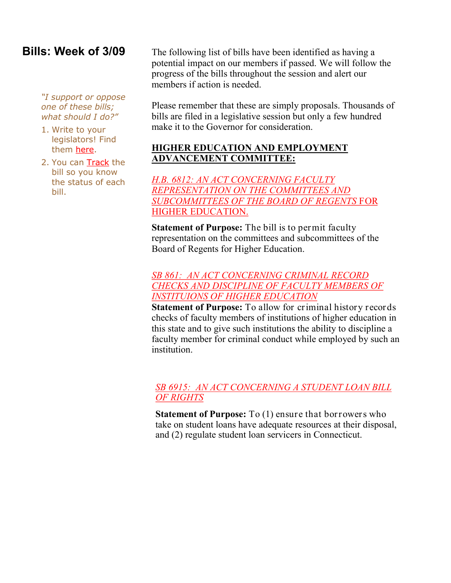## **Bills: Week of 3/09**

*"I support or oppose one of these bills; what should I do?"*

- 1. Write to your legislators! Find them [here.](http://www.cga.ct.gov/asp/menu/CGAFindLeg.asp)
- 2. You can [Track](http://www.cga.ct.gov/aspx/CGAPublicBillTrack/Register.aspx) the bill so you know the status of each bill.

The following list of bills have been identified as having a potential impact on our members if passed. We will follow the progress of the bills throughout the session and alert our members if action is needed.

Please remember that these are simply proposals. Thousands of bills are filed in a legislative session but only a few hundred make it to the Governor for consideration.

## **HIGHER EDUCATION AND EMPLOYMENT ADVANCEMENT COMMITTEE:**

*[H.B. 6812: AN ACT CONCERNING FACULTY](http://www.cga.ct.gov/2015/TOB/H/2015HB-06812-R00-HB.htmC:/Users/Elizabeth%20Pavlakis/Documents/HB6812)  [REPRESENTATION ON THE COMMITTEES AND](http://www.cga.ct.gov/2015/TOB/H/2015HB-06812-R00-HB.htmC:/Users/Elizabeth%20Pavlakis/Documents/HB6812)  [SUBCOMMITTEES OF THE BOARD OF REGENTS](http://www.cga.ct.gov/2015/TOB/H/2015HB-06812-R00-HB.htmC:/Users/Elizabeth%20Pavlakis/Documents/HB6812)* FOR [HIGHER EDUCATION.](http://www.cga.ct.gov/2015/TOB/H/2015HB-06812-R00-HB.htmC:/Users/Elizabeth%20Pavlakis/Documents/HB6812) 

**Statement of Purpose:** The bill is to permit faculty representation on the committees and subcommittees of the Board of Regents for Higher Education.

### *[SB 861: AN ACT CONCERNING CRIMINAL RECORD](http://www.cga.ct.gov/2015/TOB/S/2015SB-00861-R00-SB.htm)  [CHECKS AND DISCIPLINE OF FACULTY MEMBERS OF](http://www.cga.ct.gov/2015/TOB/S/2015SB-00861-R00-SB.htm)  [INSTITUIONS OF HIGHER EDUCATION](http://www.cga.ct.gov/2015/TOB/S/2015SB-00861-R00-SB.htm)*

**Statement of Purpose:** To allow for criminal history records checks of faculty members of institutions of higher education in this state and to give such institutions the ability to discipline a faculty member for criminal conduct while employed by such an institution.

## *[SB 6915: AN ACT CONCERNING A STUDENT LOAN BILL](http://www.cga.ct.gov/2015/TOB/S/2015SB-00861-R00-SB.htm)  [OF RIGHTS](http://www.cga.ct.gov/2015/TOB/S/2015SB-00861-R00-SB.htm)*

**Statement of Purpose:** To (1) ensure that borrowers who take on student loans have adequate resources at their disposal, and (2) regulate student loan servicers in Connecticut.